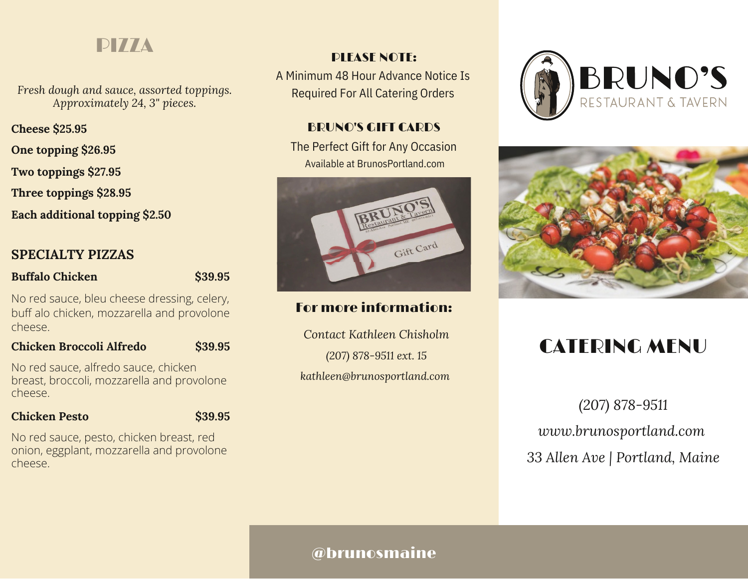# PIZZA

*Fresh dough and sauce, assorted toppings. Approximately 24, 3" pieces.*

**Cheese \$25.95**

**One topping \$26.95**

**Two toppings \$27.95**

**Three toppings \$28.95**

**Each additional topping \$2.50**

# **SPECIALTY PIZZAS**

### **Buffalo Chicken**

**\$39.95**

No red sauce, bleu cheese dressing, celery, buff alo chicken, mozzarella and provolone cheese.

### **Chicken Broccoli Alfredo \$39.95**

No red sauce, alfredo sauce, chicken breast, broccoli, mozzarella and provolone cheese.

### **Chicken Pesto**

**\$39.95**

No red sauce, pesto, chicken breast, red onion, eggplant, mozzarella and provolone cheese.

# PLEASE NOTE:

A Minimum 48 Hour Advance Notice Is Required For All Catering Orders

# BRUNO'S GIFT CARDS

The Perfect Gift for Any Occasion Available at BrunosPortland.com



# For more information:

*Contact Kathleen Chisholm (207) 878-9511 ext. 15 kathleen@brunosportland.com*





# CATERING MENU

*(207) 878-9511 www.brunosportland.com 33 Allen Ave | Portland, Maine*

# @brunosmaine